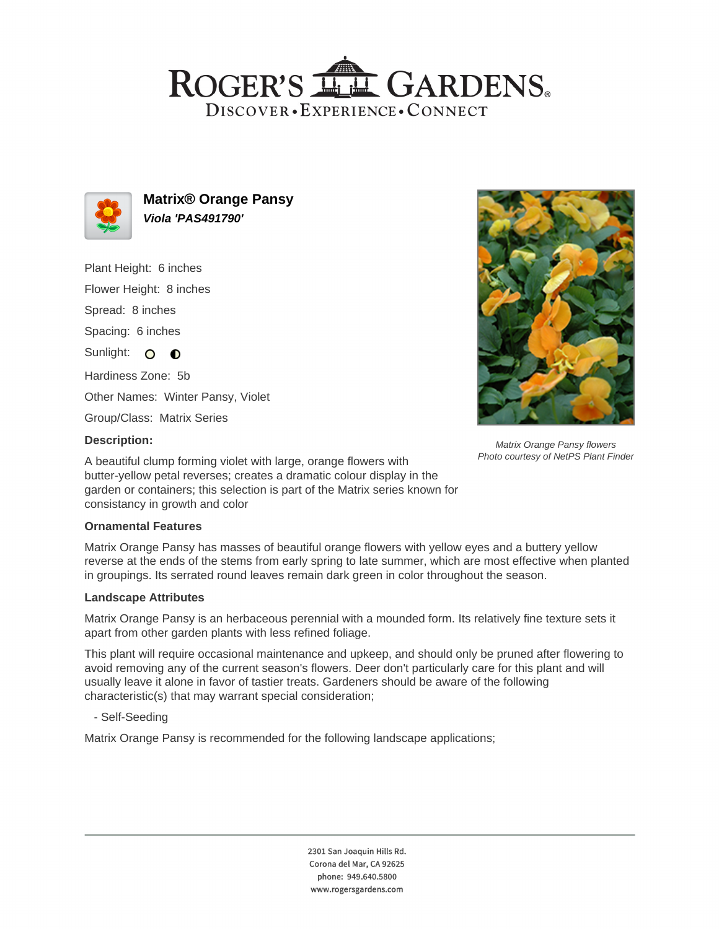## ROGER'S LL GARDENS. DISCOVER · EXPERIENCE · CONNECT



**Matrix® Orange Pansy Viola 'PAS491790'**

Plant Height: 6 inches Flower Height: 8 inches Spread: 8 inches Spacing: 6 inches Sunlight: O O Hardiness Zone: 5b Other Names: Winter Pansy, Violet Group/Class: Matrix Series



Matrix Orange Pansy flowers Photo courtesy of NetPS Plant Finder

## **Description:**

A beautiful clump forming violet with large, orange flowers with butter-yellow petal reverses; creates a dramatic colour display in the garden or containers; this selection is part of the Matrix series known for consistancy in growth and color

#### **Ornamental Features**

Matrix Orange Pansy has masses of beautiful orange flowers with yellow eyes and a buttery yellow reverse at the ends of the stems from early spring to late summer, which are most effective when planted in groupings. Its serrated round leaves remain dark green in color throughout the season.

#### **Landscape Attributes**

Matrix Orange Pansy is an herbaceous perennial with a mounded form. Its relatively fine texture sets it apart from other garden plants with less refined foliage.

This plant will require occasional maintenance and upkeep, and should only be pruned after flowering to avoid removing any of the current season's flowers. Deer don't particularly care for this plant and will usually leave it alone in favor of tastier treats. Gardeners should be aware of the following characteristic(s) that may warrant special consideration;

- Self-Seeding

Matrix Orange Pansy is recommended for the following landscape applications;

2301 San Joaquin Hills Rd. Corona del Mar, CA 92625 phone: 949.640.5800 www.rogersgardens.com